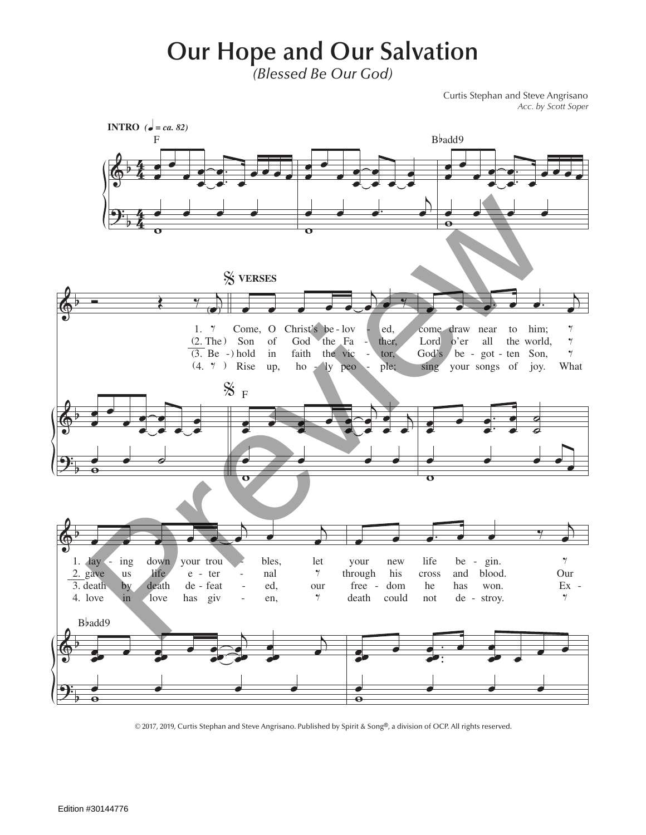## **Our Hope and Our Salvation**

*(Blessed Be Our God)*

Curtis Stephan and Steve Angrisano *Acc. by Scott Soper*



© 2017, 2019, Curtis Stephan and Steve Angrisano. Published by Spirit & Song®, a division of OCP. All rights reserved.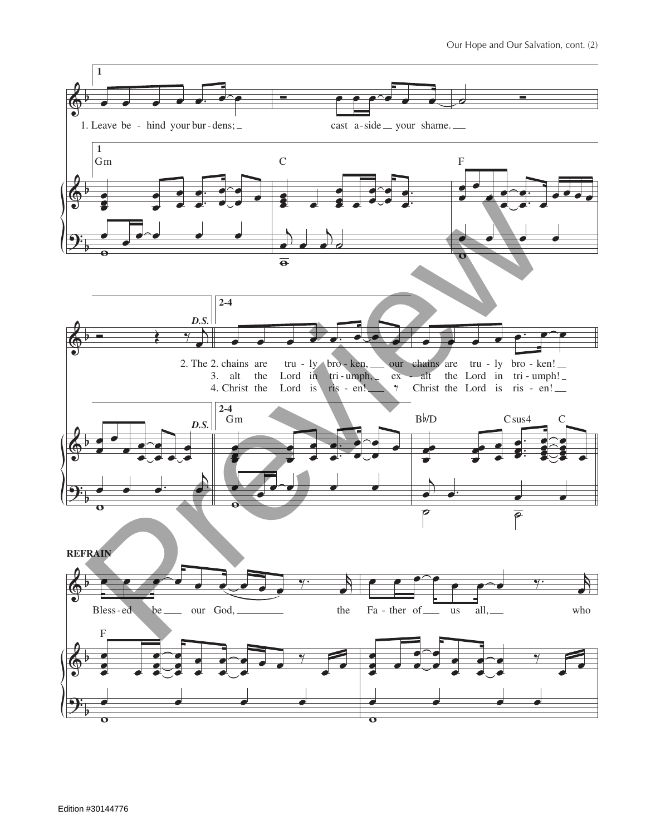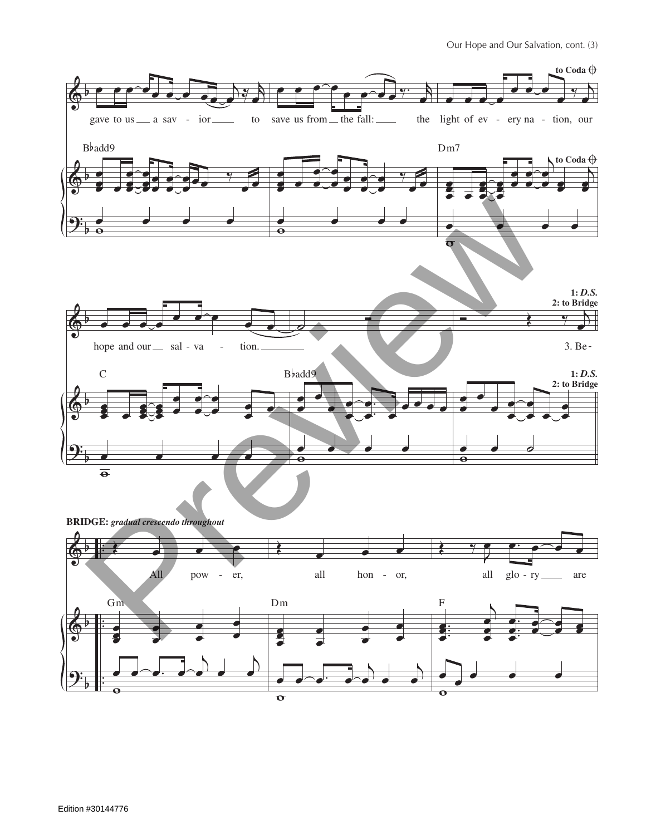